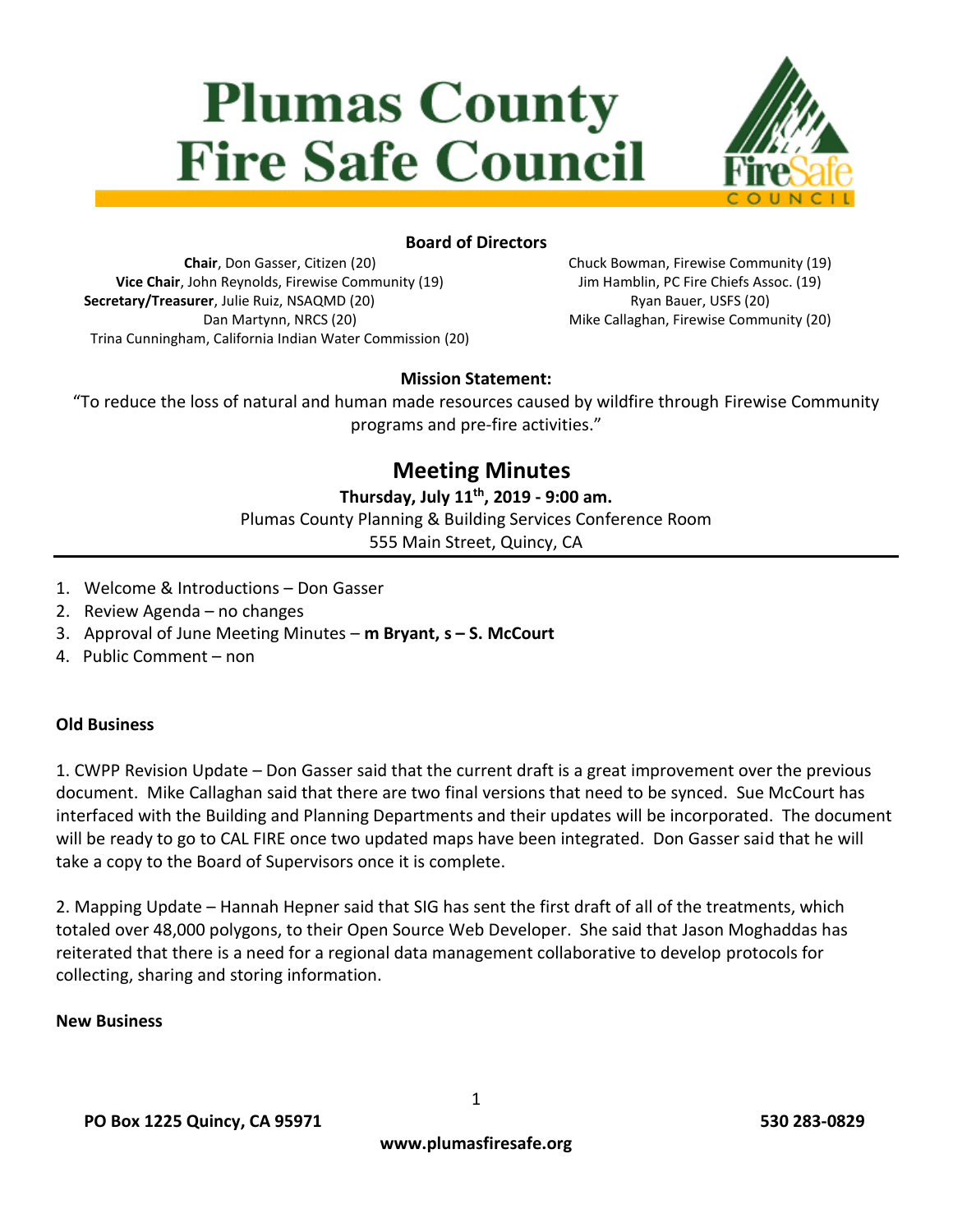# **Plumas County Fire Safe Council**



#### **Board of Directors**

**Chair**, Don Gasser, Citizen (20) **Vice Chair**, John Reynolds, Firewise Community (19) **Secretary/Treasurer**, Julie Ruiz, NSAQMD (20) Dan Martynn, NRCS (20) Trina Cunningham, California Indian Water Commission (20) Chuck Bowman, Firewise Community (19) Jim Hamblin, PC Fire Chiefs Assoc. (19) Ryan Bauer, USFS (20) Mike Callaghan, Firewise Community (20)

#### **Mission Statement:**

"To reduce the loss of natural and human made resources caused by wildfire through Firewise Community programs and pre-fire activities."

## **Meeting Minutes**

**Thursday, July 11 th, 2019 - 9:00 am.** Plumas County Planning & Building Services Conference Room

555 Main Street, Quincy, CA

- 1. Welcome & Introductions Don Gasser
- 2. Review Agenda no changes
- 3. Approval of June Meeting Minutes **m Bryant, s – S. McCourt**
- 4. Public Comment non

#### **Old Business**

1. CWPP Revision Update – Don Gasser said that the current draft is a great improvement over the previous document. Mike Callaghan said that there are two final versions that need to be synced. Sue McCourt has interfaced with the Building and Planning Departments and their updates will be incorporated. The document will be ready to go to CAL FIRE once two updated maps have been integrated. Don Gasser said that he will take a copy to the Board of Supervisors once it is complete.

2. Mapping Update – Hannah Hepner said that SIG has sent the first draft of all of the treatments, which totaled over 48,000 polygons, to their Open Source Web Developer. She said that Jason Moghaddas has reiterated that there is a need for a regional data management collaborative to develop protocols for collecting, sharing and storing information.

#### **New Business**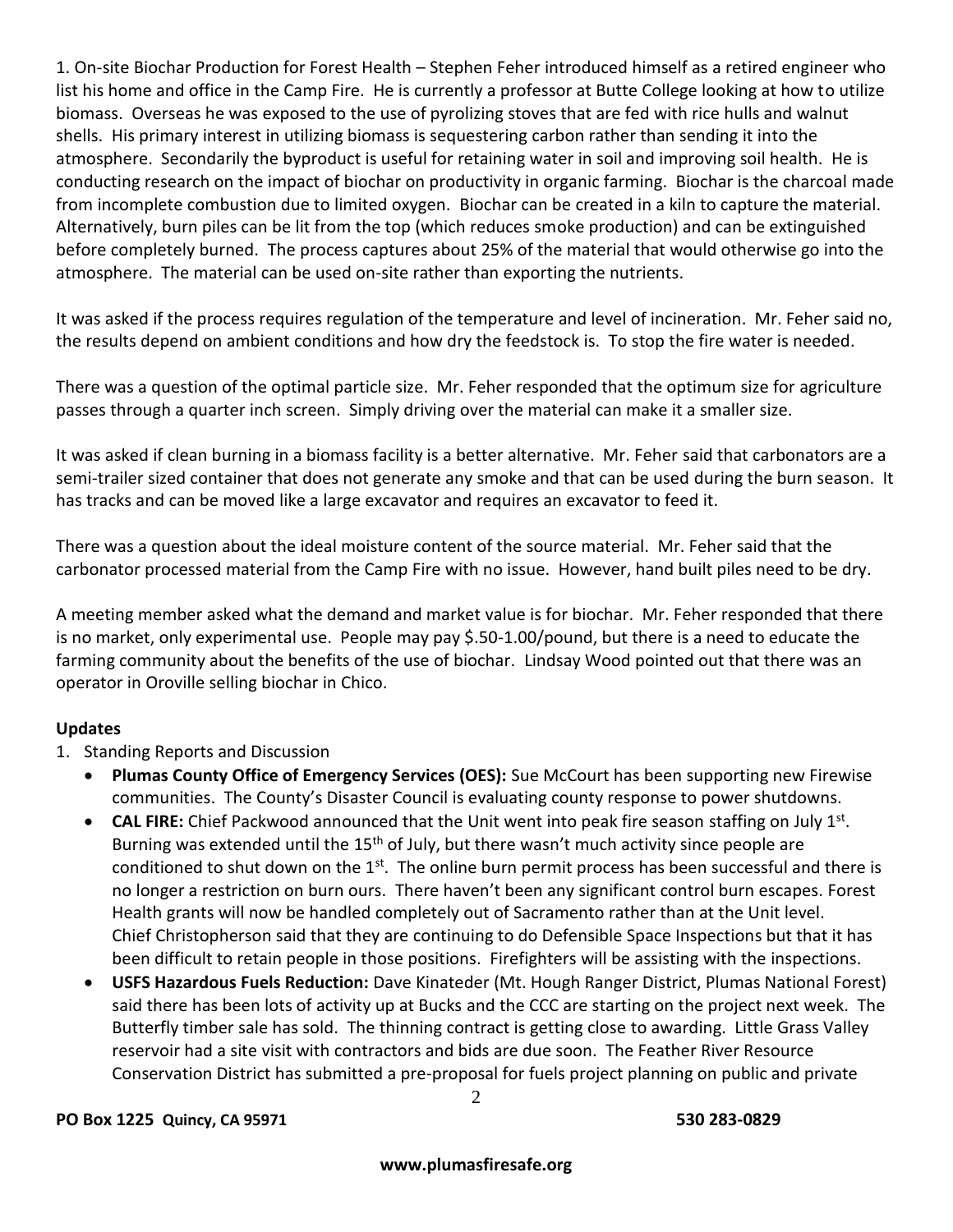1. On-site Biochar Production for Forest Health – Stephen Feher introduced himself as a retired engineer who list his home and office in the Camp Fire. He is currently a professor at Butte College looking at how to utilize biomass. Overseas he was exposed to the use of pyrolizing stoves that are fed with rice hulls and walnut shells. His primary interest in utilizing biomass is sequestering carbon rather than sending it into the atmosphere. Secondarily the byproduct is useful for retaining water in soil and improving soil health. He is conducting research on the impact of biochar on productivity in organic farming. Biochar is the charcoal made from incomplete combustion due to limited oxygen. Biochar can be created in a kiln to capture the material. Alternatively, burn piles can be lit from the top (which reduces smoke production) and can be extinguished before completely burned. The process captures about 25% of the material that would otherwise go into the atmosphere. The material can be used on-site rather than exporting the nutrients.

It was asked if the process requires regulation of the temperature and level of incineration. Mr. Feher said no, the results depend on ambient conditions and how dry the feedstock is. To stop the fire water is needed.

There was a question of the optimal particle size. Mr. Feher responded that the optimum size for agriculture passes through a quarter inch screen. Simply driving over the material can make it a smaller size.

It was asked if clean burning in a biomass facility is a better alternative. Mr. Feher said that carbonators are a semi-trailer sized container that does not generate any smoke and that can be used during the burn season. It has tracks and can be moved like a large excavator and requires an excavator to feed it.

There was a question about the ideal moisture content of the source material. Mr. Feher said that the carbonator processed material from the Camp Fire with no issue. However, hand built piles need to be dry.

A meeting member asked what the demand and market value is for biochar. Mr. Feher responded that there is no market, only experimental use. People may pay \$.50-1.00/pound, but there is a need to educate the farming community about the benefits of the use of biochar. Lindsay Wood pointed out that there was an operator in Oroville selling biochar in Chico.

#### **Updates**

- 1. Standing Reports and Discussion
	- **Plumas County Office of Emergency Services (OES):** Sue McCourt has been supporting new Firewise communities. The County's Disaster Council is evaluating county response to power shutdowns.
	- **CAL FIRE:** Chief Packwood announced that the Unit went into peak fire season staffing on July 1<sup>st</sup>. Burning was extended until the  $15<sup>th</sup>$  of July, but there wasn't much activity since people are conditioned to shut down on the 1<sup>st</sup>. The online burn permit process has been successful and there is no longer a restriction on burn ours. There haven't been any significant control burn escapes. Forest Health grants will now be handled completely out of Sacramento rather than at the Unit level. Chief Christopherson said that they are continuing to do Defensible Space Inspections but that it has been difficult to retain people in those positions. Firefighters will be assisting with the inspections.
	- **USFS Hazardous Fuels Reduction:** Dave Kinateder (Mt. Hough Ranger District, Plumas National Forest) said there has been lots of activity up at Bucks and the CCC are starting on the project next week. The Butterfly timber sale has sold. The thinning contract is getting close to awarding. Little Grass Valley reservoir had a site visit with contractors and bids are due soon. The Feather River Resource Conservation District has submitted a pre-proposal for fuels project planning on public and private

#### **PO Box 1225 Quincy, CA 95971 530 283-0829**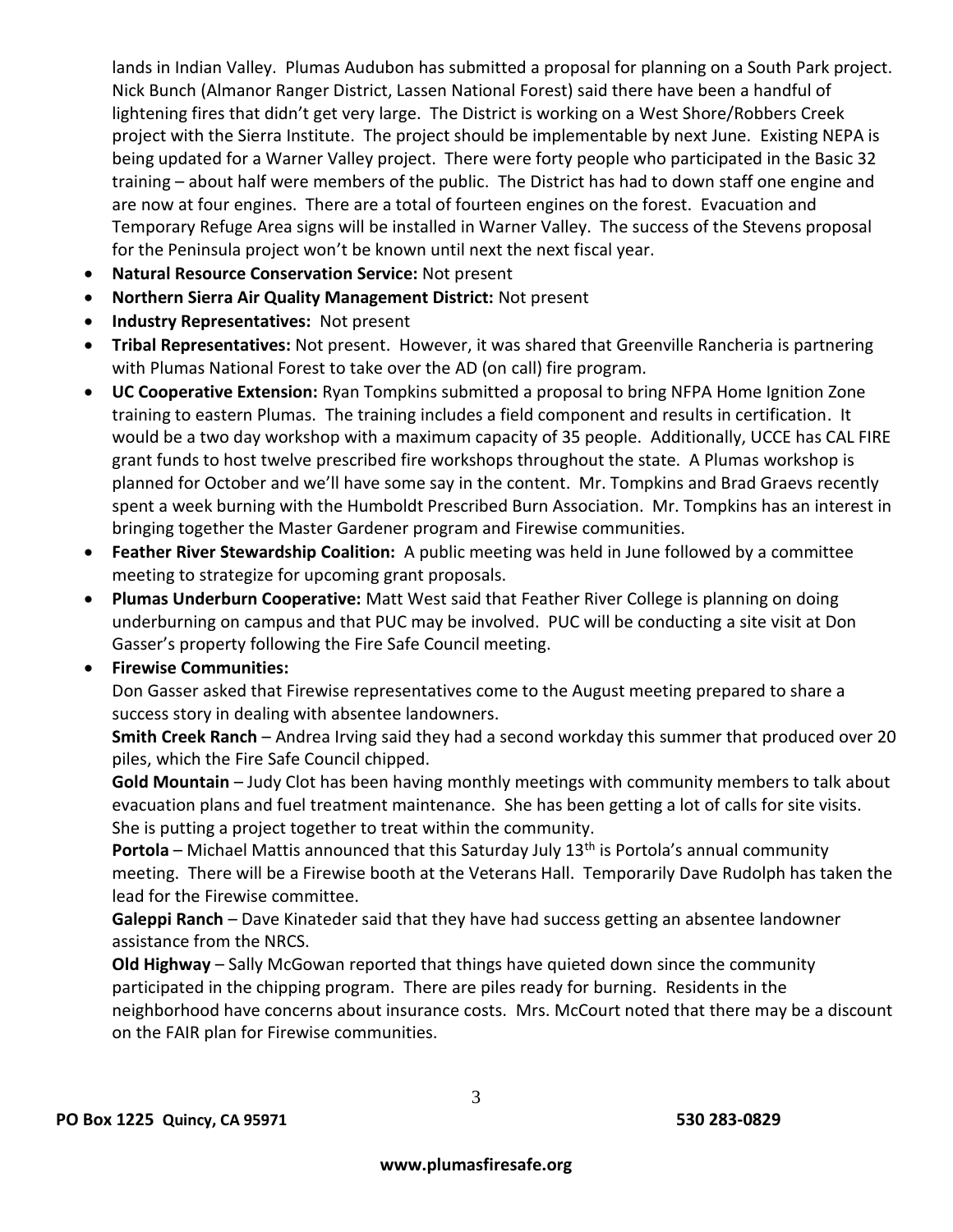lands in Indian Valley. Plumas Audubon has submitted a proposal for planning on a South Park project. Nick Bunch (Almanor Ranger District, Lassen National Forest) said there have been a handful of lightening fires that didn't get very large. The District is working on a West Shore/Robbers Creek project with the Sierra Institute. The project should be implementable by next June. Existing NEPA is being updated for a Warner Valley project. There were forty people who participated in the Basic 32 training – about half were members of the public. The District has had to down staff one engine and are now at four engines. There are a total of fourteen engines on the forest. Evacuation and Temporary Refuge Area signs will be installed in Warner Valley. The success of the Stevens proposal for the Peninsula project won't be known until next the next fiscal year.

- **Natural Resource Conservation Service:** Not present
- **Northern Sierra Air Quality Management District:** Not present
- **Industry Representatives:** Not present
- **Tribal Representatives:** Not present. However, it was shared that Greenville Rancheria is partnering with Plumas National Forest to take over the AD (on call) fire program.
- **UC Cooperative Extension:** Ryan Tompkins submitted a proposal to bring NFPA Home Ignition Zone training to eastern Plumas. The training includes a field component and results in certification. It would be a two day workshop with a maximum capacity of 35 people. Additionally, UCCE has CAL FIRE grant funds to host twelve prescribed fire workshops throughout the state. A Plumas workshop is planned for October and we'll have some say in the content. Mr. Tompkins and Brad Graevs recently spent a week burning with the Humboldt Prescribed Burn Association. Mr. Tompkins has an interest in bringing together the Master Gardener program and Firewise communities.
- **Feather River Stewardship Coalition:** A public meeting was held in June followed by a committee meeting to strategize for upcoming grant proposals.
- **Plumas Underburn Cooperative:** Matt West said that Feather River College is planning on doing underburning on campus and that PUC may be involved. PUC will be conducting a site visit at Don Gasser's property following the Fire Safe Council meeting.

#### **Firewise Communities:**

Don Gasser asked that Firewise representatives come to the August meeting prepared to share a success story in dealing with absentee landowners.

**Smith Creek Ranch** – Andrea Irving said they had a second workday this summer that produced over 20 piles, which the Fire Safe Council chipped.

**Gold Mountain** – Judy Clot has been having monthly meetings with community members to talk about evacuation plans and fuel treatment maintenance. She has been getting a lot of calls for site visits. She is putting a project together to treat within the community.

**Portola** – Michael Mattis announced that this Saturday July 13<sup>th</sup> is Portola's annual community meeting. There will be a Firewise booth at the Veterans Hall. Temporarily Dave Rudolph has taken the lead for the Firewise committee.

**Galeppi Ranch** – Dave Kinateder said that they have had success getting an absentee landowner assistance from the NRCS.

**Old Highway** – Sally McGowan reported that things have quieted down since the community participated in the chipping program. There are piles ready for burning. Residents in the neighborhood have concerns about insurance costs. Mrs. McCourt noted that there may be a discount on the FAIR plan for Firewise communities.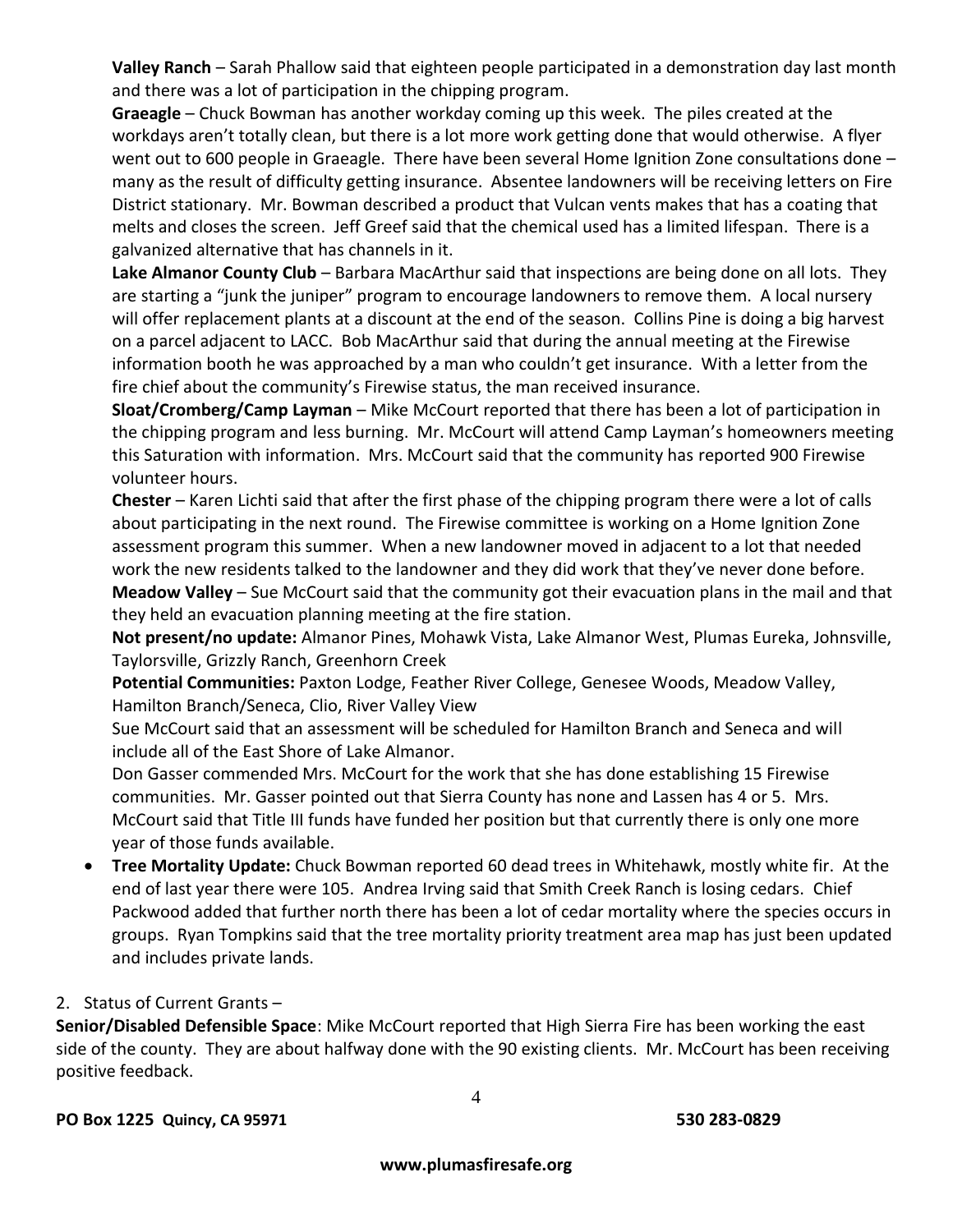**Valley Ranch** – Sarah Phallow said that eighteen people participated in a demonstration day last month and there was a lot of participation in the chipping program.

**Graeagle** – Chuck Bowman has another workday coming up this week. The piles created at the workdays aren't totally clean, but there is a lot more work getting done that would otherwise. A flyer went out to 600 people in Graeagle. There have been several Home Ignition Zone consultations done – many as the result of difficulty getting insurance. Absentee landowners will be receiving letters on Fire District stationary. Mr. Bowman described a product that Vulcan vents makes that has a coating that melts and closes the screen. Jeff Greef said that the chemical used has a limited lifespan. There is a galvanized alternative that has channels in it.

**Lake Almanor County Club** – Barbara MacArthur said that inspections are being done on all lots. They are starting a "junk the juniper" program to encourage landowners to remove them. A local nursery will offer replacement plants at a discount at the end of the season. Collins Pine is doing a big harvest on a parcel adjacent to LACC. Bob MacArthur said that during the annual meeting at the Firewise information booth he was approached by a man who couldn't get insurance. With a letter from the fire chief about the community's Firewise status, the man received insurance.

**Sloat/Cromberg/Camp Layman** – Mike McCourt reported that there has been a lot of participation in the chipping program and less burning. Mr. McCourt will attend Camp Layman's homeowners meeting this Saturation with information. Mrs. McCourt said that the community has reported 900 Firewise volunteer hours.

**Chester** – Karen Lichti said that after the first phase of the chipping program there were a lot of calls about participating in the next round. The Firewise committee is working on a Home Ignition Zone assessment program this summer. When a new landowner moved in adjacent to a lot that needed work the new residents talked to the landowner and they did work that they've never done before.

**Meadow Valley** – Sue McCourt said that the community got their evacuation plans in the mail and that they held an evacuation planning meeting at the fire station.

**Not present/no update:** Almanor Pines, Mohawk Vista, Lake Almanor West, Plumas Eureka, Johnsville, Taylorsville, Grizzly Ranch, Greenhorn Creek

**Potential Communities:** Paxton Lodge, Feather River College, Genesee Woods, Meadow Valley, Hamilton Branch/Seneca, Clio, River Valley View

Sue McCourt said that an assessment will be scheduled for Hamilton Branch and Seneca and will include all of the East Shore of Lake Almanor.

Don Gasser commended Mrs. McCourt for the work that she has done establishing 15 Firewise communities. Mr. Gasser pointed out that Sierra County has none and Lassen has 4 or 5. Mrs. McCourt said that Title III funds have funded her position but that currently there is only one more year of those funds available.

 **Tree Mortality Update:** Chuck Bowman reported 60 dead trees in Whitehawk, mostly white fir. At the end of last year there were 105. Andrea Irving said that Smith Creek Ranch is losing cedars. Chief Packwood added that further north there has been a lot of cedar mortality where the species occurs in groups. Ryan Tompkins said that the tree mortality priority treatment area map has just been updated and includes private lands.

### 2. Status of Current Grants –

**Senior/Disabled Defensible Space**: Mike McCourt reported that High Sierra Fire has been working the east side of the county. They are about halfway done with the 90 existing clients. Mr. McCourt has been receiving positive feedback.